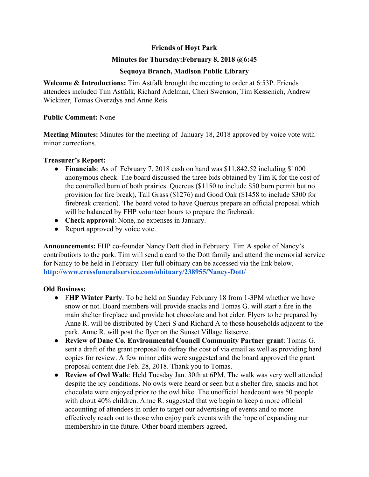# **Friends of Hoyt Park**

## **Minutes for Thursday:February 8, 2018 @6:45**

## **Sequoya Branch, Madison Public Library**

**Welcome & Introductions:** Tim Astfalk brought the meeting to order at 6:53P. Friends attendees included Tim Astfalk, Richard Adelman, Cheri Swenson, Tim Kessenich, Andrew Wickizer, Tomas Gverzdys and Anne Reis.

### **Public Comment:** None

**Meeting Minutes:** Minutes for the meeting of January 18, 2018 approved by voice vote with minor corrections.

## **Treasurer's Report:**

- **Financials**: As of February 7, 2018 cash on hand was \$11,842.52 including \$1000 anonymous check. The board discussed the three bids obtained by Tim K for the cost of the controlled burn of both prairies. Quercus (\$1150 to include \$50 burn permit but no provision for fire break), Tall Grass (\$1276) and Good Oak (\$1458 to include \$300 for firebreak creation). The board voted to have Quercus prepare an official proposal which will be balanced by FHP volunteer hours to prepare the firebreak.
- **Check approval**: None, no expenses in January.
- Report approved by voice vote.

**Announcements:** FHP co-founder Nancy Dott died in February. Tim A spoke of Nancy's contributions to the park. Tim will send a card to the Dott family and attend the memorial service for Nancy to be held in February. Her full obituary can be accessed via the link below. **<http://www.cressfuneralservice.com/obituary/238955/Nancy-Dott/>**

## **Old Business:**

- F**HP Winter Party**: To be held on Sunday February 18 from 1-3PM whether we have snow or not. Board members will provide snacks and Tomas G. will start a fire in the main shelter fireplace and provide hot chocolate and hot cider. Flyers to be prepared by Anne R. will be distributed by Cheri S and Richard A to those households adjacent to the park. Anne R. will post the flyer on the Sunset Village listserve.
- **Review of Dane Co. Environmental Council Community Partner grant**: Tomas G. sent a draft of the grant proposal to defray the cost of via email as well as providing hard copies for review. A few minor edits were suggested and the board approved the grant proposal content due Feb. 28, 2018. Thank you to Tomas.
- **Review of Owl Walk**: Held Tuesday Jan. 30th at 6PM. The walk was very well attended despite the icy conditions. No owls were heard or seen but a shelter fire, snacks and hot chocolate were enjoyed prior to the owl hike. The unofficial headcount was 50 people with about 40% children. Anne R. suggested that we begin to keep a more official accounting of attendees in order to target our advertising of events and to more effectively reach out to those who enjoy park events with the hope of expanding our membership in the future. Other board members agreed.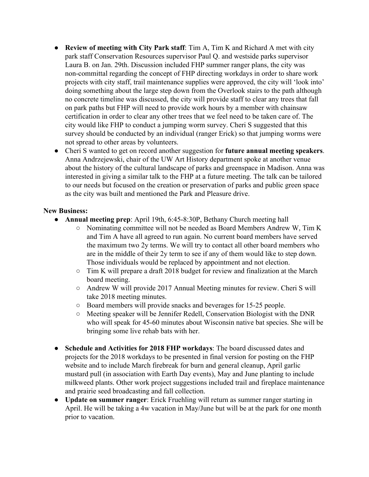- **Review of meeting with City Park staff**: Tim A, Tim K and Richard A met with city park staff Conservation Resources supervisor Paul Q. and westside parks supervisor Laura B. on Jan. 29th. Discussion included FHP summer ranger plans, the city was non-committal regarding the concept of FHP directing workdays in order to share work projects with city staff, trail maintenance supplies were approved, the city will 'look into' doing something about the large step down from the Overlook stairs to the path although no concrete timeline was discussed, the city will provide staff to clear any trees that fall on park paths but FHP will need to provide work hours by a member with chainsaw certification in order to clear any other trees that we feel need to be taken care of. The city would like FHP to conduct a jumping worm survey. Cheri S suggested that this survey should be conducted by an individual (ranger Erick) so that jumping worms were not spread to other areas by volunteers.
- Cheri S wanted to get on record another suggestion for **future annual meeting speakers**. Anna Andrzejewski, chair of the UW Art History department spoke at another venue about the history of the cultural landscape of parks and greenspace in Madison. Anna was interested in giving a similar talk to the FHP at a future meeting. The talk can be tailored to our needs but focused on the creation or preservation of parks and public green space as the city was built and mentioned the Park and Pleasure drive.

## **New Business:**

- **Annual meeting prep**: April 19th, 6:45-8:30P, Bethany Church meeting hall
	- Nominating committee will not be needed as Board Members Andrew W, Tim K and Tim A have all agreed to run again. No current board members have served the maximum two 2y terms. We will try to contact all other board members who are in the middle of their 2y term to see if any of them would like to step down. Those individuals would be replaced by appointment and not election.
	- Tim K will prepare a draft 2018 budget for review and finalization at the March board meeting.
	- Andrew W will provide 2017 Annual Meeting minutes for review. Cheri S will take 2018 meeting minutes.
	- Board members will provide snacks and beverages for 15-25 people.
	- Meeting speaker will be Jennifer Redell, Conservation Biologist with the DNR who will speak for 45-60 minutes about Wisconsin native bat species. She will be bringing some live rehab bats with her.
- **Schedule and Activities for 2018 FHP workdays:** The board discussed dates and projects for the 2018 workdays to be presented in final version for posting on the FHP website and to include March firebreak for burn and general cleanup, April garlic mustard pull (in association with Earth Day events), May and June planting to include milkweed plants. Other work project suggestions included trail and fireplace maintenance and prairie seed broadcasting and fall collection.
- **Update on summer ranger**: Erick Fruehling will return as summer ranger starting in April. He will be taking a 4w vacation in May/June but will be at the park for one month prior to vacation.